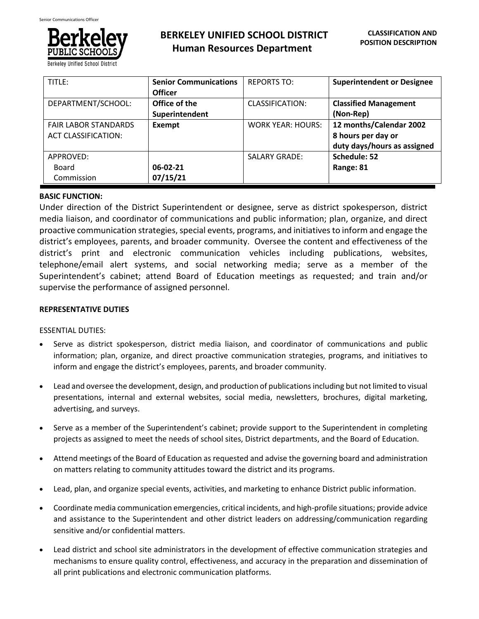

**Berkeley Unified School Dist** 

| TITLE:                                                    | <b>Senior Communications</b><br><b>Officer</b> | <b>REPORTS TO:</b>       | <b>Superintendent or Designee</b>                                            |
|-----------------------------------------------------------|------------------------------------------------|--------------------------|------------------------------------------------------------------------------|
| DEPARTMENT/SCHOOL:                                        | Office of the<br>Superintendent                | CLASSIFICATION:          | <b>Classified Management</b><br>(Non-Rep)                                    |
| <b>FAIR LABOR STANDARDS</b><br><b>ACT CLASSIFICATION:</b> | Exempt                                         | <b>WORK YEAR: HOURS:</b> | 12 months/Calendar 2002<br>8 hours per day or<br>duty days/hours as assigned |
| APPROVED:<br>Board<br>Commission                          | 06-02-21<br>07/15/21                           | <b>SALARY GRADE:</b>     | Schedule: 52<br>Range: 81                                                    |

### **BASIC FUNCTION:**

Under direction of the District Superintendent or designee, serve as district spokesperson, district media liaison, and coordinator of communications and public information; plan, organize, and direct proactive communication strategies, special events, programs, and initiatives to inform and engage the district's employees, parents, and broader community. Oversee the content and effectiveness of the district's print and electronic communication vehicles including publications, websites, telephone/email alert systems, and social networking media; serve as a member of the Superintendent's cabinet; attend Board of Education meetings as requested; and train and/or supervise the performance of assigned personnel.

# **REPRESENTATIVE DUTIES**

### ESSENTIAL DUTIES:

- Serve as district spokesperson, district media liaison, and coordinator of communications and public information; plan, organize, and direct proactive communication strategies, programs, and initiatives to inform and engage the district's employees, parents, and broader community.
- Lead and oversee the development, design, and production of publications including but not limited to visual presentations, internal and external websites, social media, newsletters, brochures, digital marketing, advertising, and surveys.
- Serve as a member of the Superintendent's cabinet; provide support to the Superintendent in completing projects as assigned to meet the needs of school sites, District departments, and the Board of Education.
- Attend meetings of the Board of Education as requested and advise the governing board and administration on matters relating to community attitudes toward the district and its programs.
- Lead, plan, and organize special events, activities, and marketing to enhance District public information.
- Coordinate media communication emergencies, critical incidents, and high-profile situations; provide advice and assistance to the Superintendent and other district leaders on addressing/communication regarding sensitive and/or confidential matters.
- Lead district and school site administrators in the development of effective communication strategies and mechanisms to ensure quality control, effectiveness, and accuracy in the preparation and dissemination of all print publications and electronic communication platforms.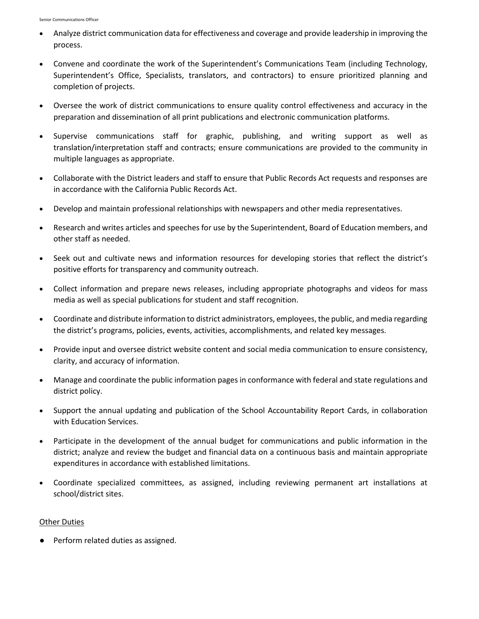- Analyze district communication data for effectiveness and coverage and provide leadership in improving the process.
- Convene and coordinate the work of the Superintendent's Communications Team (including Technology, Superintendent's Office, Specialists, translators, and contractors) to ensure prioritized planning and completion of projects.
- Oversee the work of district communications to ensure quality control effectiveness and accuracy in the preparation and dissemination of all print publications and electronic communication platforms.
- Supervise communications staff for graphic, publishing, and writing support as well as translation/interpretation staff and contracts; ensure communications are provided to the community in multiple languages as appropriate.
- Collaborate with the District leaders and staff to ensure that Public Records Act requests and responses are in accordance with the California Public Records Act.
- Develop and maintain professional relationships with newspapers and other media representatives.
- Research and writes articles and speeches for use by the Superintendent, Board of Education members, and other staff as needed.
- Seek out and cultivate news and information resources for developing stories that reflect the district's positive efforts for transparency and community outreach.
- Collect information and prepare news releases, including appropriate photographs and videos for mass media as well as special publications for student and staff recognition.
- Coordinate and distribute information to district administrators, employees, the public, and media regarding the district's programs, policies, events, activities, accomplishments, and related key messages.
- Provide input and oversee district website content and social media communication to ensure consistency, clarity, and accuracy of information.
- Manage and coordinate the public information pages in conformance with federal and state regulations and district policy.
- Support the annual updating and publication of the School Accountability Report Cards, in collaboration with Education Services.
- Participate in the development of the annual budget for communications and public information in the district; analyze and review the budget and financial data on a continuous basis and maintain appropriate expenditures in accordance with established limitations.
- Coordinate specialized committees, as assigned, including reviewing permanent art installations at school/district sites.

### Other Duties

● Perform related duties as assigned.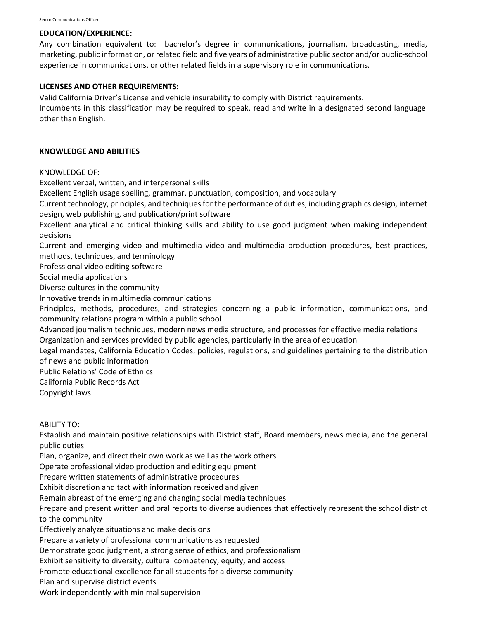#### **EDUCATION/EXPERIENCE:**

Any combination equivalent to: bachelor's degree in communications, journalism, broadcasting, media, marketing, public information, or related field and five years of administrative public sector and/or public-school experience in communications, or other related fields in a supervisory role in communications.

### **LICENSES AND OTHER REQUIREMENTS:**

Valid California Driver's License and vehicle insurability to comply with District requirements.

Incumbents in this classification may be required to speak, read and write in a designated second language other than English.

#### **KNOWLEDGE AND ABILITIES**

KNOWLEDGE OF:

Excellent verbal, written, and interpersonal skills

Excellent English usage spelling, grammar, punctuation, composition, and vocabulary

Current technology, principles, and techniques for the performance of duties; including graphics design, internet design, web publishing, and publication/print software

Excellent analytical and critical thinking skills and ability to use good judgment when making independent decisions

Current and emerging video and multimedia video and multimedia production procedures, best practices, methods, techniques, and terminology

Professional video editing software

Social media applications

Diverse cultures in the community

Innovative trends in multimedia communications

Principles, methods, procedures, and strategies concerning a public information, communications, and community relations program within a public school

Advanced journalism techniques, modern news media structure, and processes for effective media relations Organization and services provided by public agencies, particularly in the area of education

Legal mandates, California Education Codes, policies, regulations, and guidelines pertaining to the distribution of news and public information

Public Relations' Code of Ethnics

California Public Records Act

Copyright laws

ABILITY TO:

Establish and maintain positive relationships with District staff, Board members, news media, and the general public duties

Plan, organize, and direct their own work as well as the work others

Operate professional video production and editing equipment

Prepare written statements of administrative procedures

Exhibit discretion and tact with information received and given

Remain abreast of the emerging and changing social media techniques

Prepare and present written and oral reports to diverse audiences that effectively represent the school district to the community

Effectively analyze situations and make decisions

Prepare a variety of professional communications as requested

Demonstrate good judgment, a strong sense of ethics, and professionalism

Exhibit sensitivity to diversity, cultural competency, equity, and access

Promote educational excellence for all students for a diverse community

Plan and supervise district events

Work independently with minimal supervision